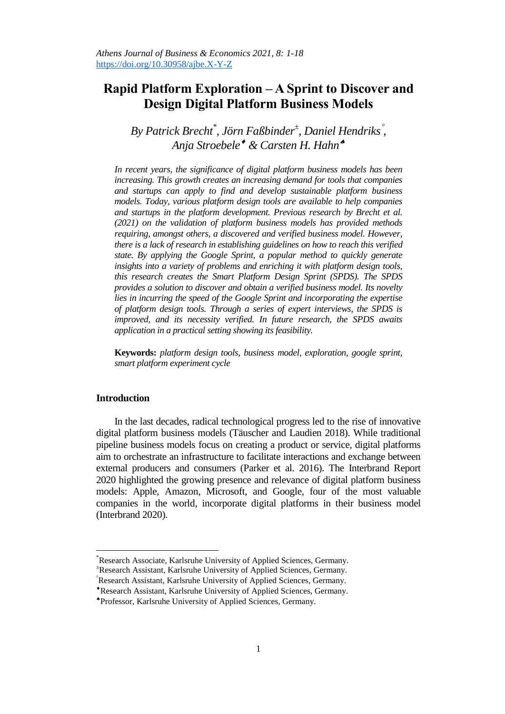# **Rapid Platform Exploration – A Sprint to Discover and Design Digital Platform Business Models**

*By Patrick Brecht\* , Jörn Faßbinder<sup>±</sup> , Daniel Hendriks , Anja Stroebele & Carsten H. Hahn*

*In recent years, the significance of digital platform business models has been increasing. This growth creates an increasing demand for tools that companies and startups can apply to find and develop sustainable platform business models. Today, various platform design tools are available to help companies and startups in the platform development. Previous research by Brecht et al. (2021) on the validation of platform business models has provided methods requiring, amongst others, a discovered and verified business model. However, there is a lack of research in establishing guidelines on how to reach this verified state. By applying the Google Sprint, a popular method to quickly generate insights into a variety of problems and enriching it with platform design tools, this research creates the Smart Platform Design Sprint (SPDS). The SPDS provides a solution to discover and obtain a verified business model. Its novelty lies in incurring the speed of the Google Sprint and incorporating the expertise of platform design tools. Through a series of expert interviews, the SPDS is improved, and its necessity verified. In future research, the SPDS awaits application in a practical setting showing its feasibility.*

**Keywords:** *platform design tools, business model, exploration, google sprint, smart platform experiment cycle*

## **Introduction**

 $\overline{a}$ 

In the last decades, radical technological progress led to the rise of innovative digital platform business models (Täuscher and Laudien 2018). While traditional pipeline business models focus on creating a product or service, digital platforms aim to orchestrate an infrastructure to facilitate interactions and exchange between external producers and consumers (Parker et al. 2016). The Interbrand Report 2020 highlighted the growing presence and relevance of digital platform business models: Apple, Amazon, Microsoft, and Google, four of the most valuable companies in the world, incorporate digital platforms in their business model (Interbrand 2020).

<sup>\*</sup>Research Associate, Karlsruhe University of Applied Sciences, Germany.

<sup>±</sup>Research Assistant, Karlsruhe University of Applied Sciences, Germany.

Research Assistant, Karlsruhe University of Applied Sciences, Germany.

Research Assistant, Karlsruhe University of Applied Sciences, Germany.

Professor, Karlsruhe University of Applied Sciences, Germany.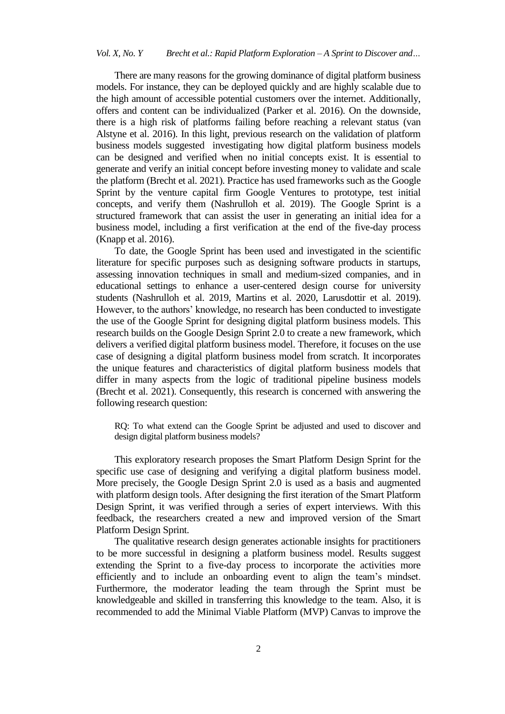There are many reasons for the growing dominance of digital platform business models. For instance, they can be deployed quickly and are highly scalable due to the high amount of accessible potential customers over the internet. Additionally, offers and content can be individualized (Parker et al. 2016). On the downside, there is a high risk of platforms failing before reaching a relevant status (van Alstyne et al. 2016). In this light, previous research on the validation of platform business models suggested investigating how digital platform business models can be designed and verified when no initial concepts exist. It is essential to generate and verify an initial concept before investing money to validate and scale the platform (Brecht et al. 2021). Practice has used frameworks such as the Google Sprint by the venture capital firm Google Ventures to prototype, test initial concepts, and verify them (Nashrulloh et al. 2019). The Google Sprint is a structured framework that can assist the user in generating an initial idea for a business model, including a first verification at the end of the five-day process (Knapp et al. 2016).

To date, the Google Sprint has been used and investigated in the scientific literature for specific purposes such as designing software products in startups, assessing innovation techniques in small and medium-sized companies, and in educational settings to enhance a user-centered design course for university students (Nashrulloh et al. 2019, Martins et al. 2020, Larusdottir et al. 2019). However, to the authors' knowledge, no research has been conducted to investigate the use of the Google Sprint for designing digital platform business models. This research builds on the Google Design Sprint 2.0 to create a new framework, which delivers a verified digital platform business model. Therefore, it focuses on the use case of designing a digital platform business model from scratch. It incorporates the unique features and characteristics of digital platform business models that differ in many aspects from the logic of traditional pipeline business models (Brecht et al. 2021). Consequently, this research is concerned with answering the following research question:

RQ: To what extend can the Google Sprint be adjusted and used to discover and design digital platform business models?

This exploratory research proposes the Smart Platform Design Sprint for the specific use case of designing and verifying a digital platform business model. More precisely, the Google Design Sprint 2.0 is used as a basis and augmented with platform design tools. After designing the first iteration of the Smart Platform Design Sprint, it was verified through a series of expert interviews. With this feedback, the researchers created a new and improved version of the Smart Platform Design Sprint.

The qualitative research design generates actionable insights for practitioners to be more successful in designing a platform business model. Results suggest extending the Sprint to a five-day process to incorporate the activities more efficiently and to include an onboarding event to align the team's mindset. Furthermore, the moderator leading the team through the Sprint must be knowledgeable and skilled in transferring this knowledge to the team. Also, it is recommended to add the Minimal Viable Platform (MVP) Canvas to improve the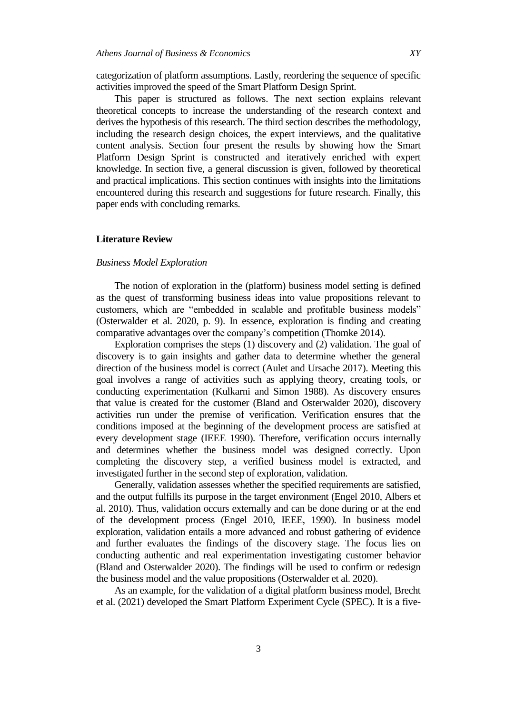categorization of platform assumptions. Lastly, reordering the sequence of specific activities improved the speed of the Smart Platform Design Sprint.

This paper is structured as follows. The next section explains relevant theoretical concepts to increase the understanding of the research context and derives the hypothesis of this research. The third section describes the methodology, including the research design choices, the expert interviews, and the qualitative content analysis. Section four present the results by showing how the Smart Platform Design Sprint is constructed and iteratively enriched with expert knowledge. In section five, a general discussion is given, followed by theoretical and practical implications. This section continues with insights into the limitations encountered during this research and suggestions for future research. Finally, this paper ends with concluding remarks.

## **Literature Review**

## *Business Model Exploration*

The notion of exploration in the (platform) business model setting is defined as the quest of transforming business ideas into value propositions relevant to customers, which are "embedded in scalable and profitable business models" (Osterwalder et al. 2020, p. 9). In essence, exploration is finding and creating comparative advantages over the company's competition (Thomke 2014).

Exploration comprises the steps (1) discovery and (2) validation. The goal of discovery is to gain insights and gather data to determine whether the general direction of the business model is correct (Aulet and Ursache 2017). Meeting this goal involves a range of activities such as applying theory, creating tools, or conducting experimentation (Kulkarni and Simon 1988). As discovery ensures that value is created for the customer (Bland and Osterwalder 2020), discovery activities run under the premise of verification. Verification ensures that the conditions imposed at the beginning of the development process are satisfied at every development stage (IEEE 1990). Therefore, verification occurs internally and determines whether the business model was designed correctly. Upon completing the discovery step, a verified business model is extracted, and investigated further in the second step of exploration, validation.

Generally, validation assesses whether the specified requirements are satisfied, and the output fulfills its purpose in the target environment (Engel 2010, Albers et al. 2010). Thus, validation occurs externally and can be done during or at the end of the development process (Engel 2010, IEEE, 1990). In business model exploration, validation entails a more advanced and robust gathering of evidence and further evaluates the findings of the discovery stage. The focus lies on conducting authentic and real experimentation investigating customer behavior (Bland and Osterwalder 2020). The findings will be used to confirm or redesign the business model and the value propositions (Osterwalder et al. 2020).

As an example, for the validation of a digital platform business model, Brecht et al. (2021) developed the Smart Platform Experiment Cycle (SPEC). It is a five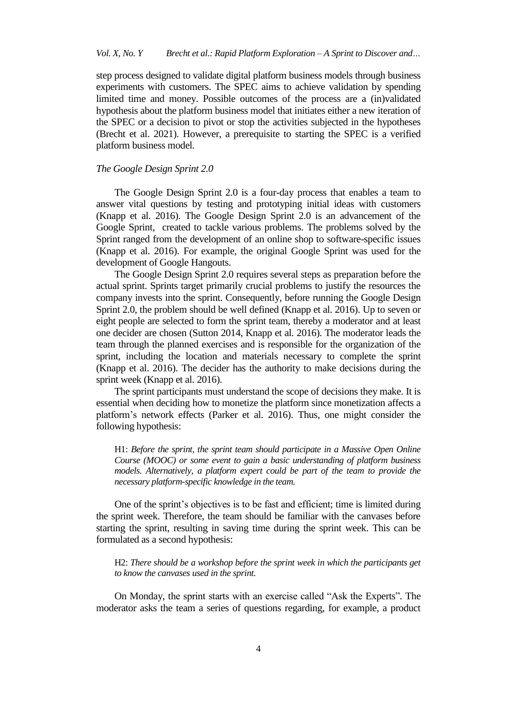step process designed to validate digital platform business models through business experiments with customers. The SPEC aims to achieve validation by spending limited time and money. Possible outcomes of the process are a (in)validated hypothesis about the platform business model that initiates either a new iteration of the SPEC or a decision to pivot or stop the activities subjected in the hypotheses (Brecht et al. 2021). However, a prerequisite to starting the SPEC is a verified platform business model.

## *The Google Design Sprint 2.0*

The Google Design Sprint 2.0 is a four-day process that enables a team to answer vital questions by testing and prototyping initial ideas with customers (Knapp et al. 2016). The Google Design Sprint 2.0 is an advancement of the Google Sprint, created to tackle various problems. The problems solved by the Sprint ranged from the development of an online shop to software-specific issues (Knapp et al. 2016). For example, the original Google Sprint was used for the development of Google Hangouts.

The Google Design Sprint 2.0 requires several steps as preparation before the actual sprint. Sprints target primarily crucial problems to justify the resources the company invests into the sprint. Consequently, before running the Google Design Sprint 2.0, the problem should be well defined (Knapp et al. 2016). Up to seven or eight people are selected to form the sprint team, thereby a moderator and at least one decider are chosen (Sutton 2014, Knapp et al. 2016). The moderator leads the team through the planned exercises and is responsible for the organization of the sprint, including the location and materials necessary to complete the sprint (Knapp et al. 2016). The decider has the authority to make decisions during the sprint week (Knapp et al. 2016).

The sprint participants must understand the scope of decisions they make. It is essential when deciding how to monetize the platform since monetization affects a platform's network effects (Parker et al. 2016). Thus, one might consider the following hypothesis:

H1: *Before the sprint, the sprint team should participate in a Massive Open Online Course (MOOC) or some event to gain a basic understanding of platform business*  models. Alternatively, a platform expert could be part of the team to provide the *necessary platform-specific knowledge in the team.*

One of the sprint's objectives is to be fast and efficient; time is limited during the sprint week. Therefore, the team should be familiar with the canvases before starting the sprint, resulting in saving time during the sprint week. This can be formulated as a second hypothesis:

H2: *There should be a workshop before the sprint week in which the participants get to know the canvases used in the sprint.* 

On Monday, the sprint starts with an exercise called "Ask the Experts". The moderator asks the team a series of questions regarding, for example, a product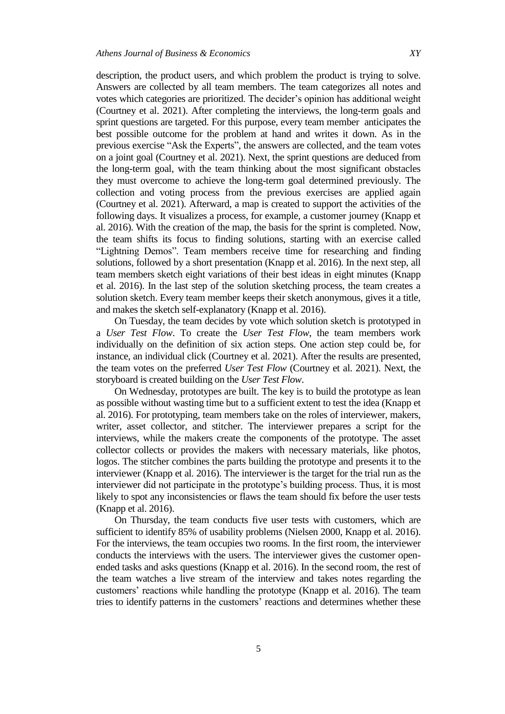description, the product users, and which problem the product is trying to solve. Answers are collected by all team members. The team categorizes all notes and votes which categories are prioritized. The decider's opinion has additional weight (Courtney et al. 2021). After completing the interviews, the long-term goals and sprint questions are targeted. For this purpose, every team member anticipates the best possible outcome for the problem at hand and writes it down. As in the previous exercise "Ask the Experts", the answers are collected, and the team votes on a joint goal (Courtney et al. 2021). Next, the sprint questions are deduced from the long-term goal, with the team thinking about the most significant obstacles they must overcome to achieve the long-term goal determined previously. The collection and voting process from the previous exercises are applied again (Courtney et al. 2021). Afterward, a map is created to support the activities of the following days. It visualizes a process, for example, a customer journey (Knapp et al. 2016). With the creation of the map, the basis for the sprint is completed. Now, the team shifts its focus to finding solutions, starting with an exercise called "Lightning Demos". Team members receive time for researching and finding solutions, followed by a short presentation (Knapp et al. 2016). In the next step, all team members sketch eight variations of their best ideas in eight minutes (Knapp et al. 2016). In the last step of the solution sketching process, the team creates a solution sketch. Every team member keeps their sketch anonymous, gives it a title, and makes the sketch self-explanatory (Knapp et al. 2016).

On Tuesday, the team decides by vote which solution sketch is prototyped in a *User Test Flow*. To create the *User Test Flow*, the team members work individually on the definition of six action steps. One action step could be, for instance, an individual click (Courtney et al. 2021). After the results are presented, the team votes on the preferred *User Test Flow* (Courtney et al. 2021). Next, the storyboard is created building on the *User Test Flow*.

On Wednesday, prototypes are built. The key is to build the prototype as lean as possible without wasting time but to a sufficient extent to test the idea (Knapp et al. 2016). For prototyping, team members take on the roles of interviewer, makers, writer, asset collector, and stitcher. The interviewer prepares a script for the interviews, while the makers create the components of the prototype. The asset collector collects or provides the makers with necessary materials, like photos, logos. The stitcher combines the parts building the prototype and presents it to the interviewer (Knapp et al. 2016). The interviewer is the target for the trial run as the interviewer did not participate in the prototype's building process. Thus, it is most likely to spot any inconsistencies or flaws the team should fix before the user tests (Knapp et al. 2016).

On Thursday, the team conducts five user tests with customers, which are sufficient to identify 85% of usability problems (Nielsen 2000, Knapp et al. 2016). For the interviews, the team occupies two rooms. In the first room, the interviewer conducts the interviews with the users. The interviewer gives the customer openended tasks and asks questions (Knapp et al. 2016). In the second room, the rest of the team watches a live stream of the interview and takes notes regarding the customers' reactions while handling the prototype (Knapp et al. 2016). The team tries to identify patterns in the customers' reactions and determines whether these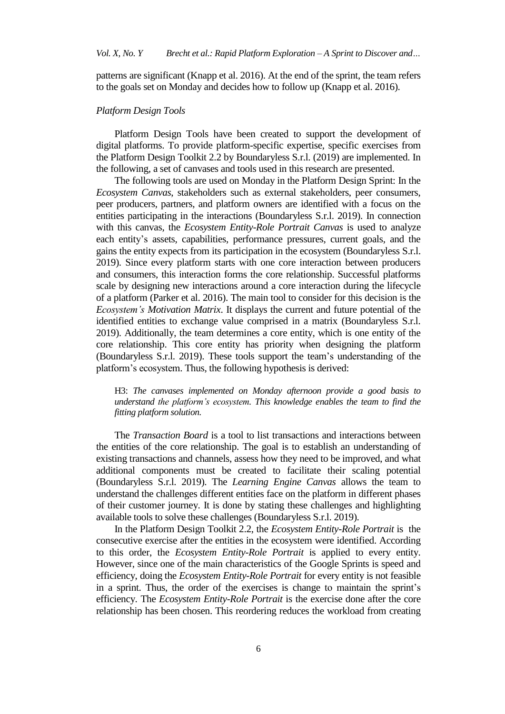patterns are significant (Knapp et al. 2016). At the end of the sprint, the team refers to the goals set on Monday and decides how to follow up (Knapp et al. 2016).

## *Platform Design Tools*

Platform Design Tools have been created to support the development of digital platforms. To provide platform-specific expertise, specific exercises from the Platform Design Toolkit 2.2 by Boundaryless S.r.l. (2019) are implemented. In the following, a set of canvases and tools used in this research are presented.

The following tools are used on Monday in the Platform Design Sprint: In the *Ecosystem Canvas*, stakeholders such as external stakeholders, peer consumers, peer producers, partners, and platform owners are identified with a focus on the entities participating in the interactions (Boundaryless S.r.l. 2019). In connection with this canvas, the *Ecosystem Entity-Role Portrait Canvas* is used to analyze each entity's assets, capabilities, performance pressures, current goals, and the gains the entity expects from its participation in the ecosystem (Boundaryless S.r.l. 2019). Since every platform starts with one core interaction between producers and consumers, this interaction forms the core relationship. Successful platforms scale by designing new interactions around a core interaction during the lifecycle of a platform (Parker et al. 2016). The main tool to consider for this decision is the *Ecosystem's Motivation Matrix*. It displays the current and future potential of the identified entities to exchange value comprised in a matrix (Boundaryless S.r.l. 2019). Additionally, the team determines a core entity, which is one entity of the core relationship. This core entity has priority when designing the platform (Boundaryless S.r.l. 2019). These tools support the team's understanding of the platform's ecosystem. Thus, the following hypothesis is derived:

H3: *The canvases implemented on Monday afternoon provide a good basis to understand the platform's ecosystem. This knowledge enables the team to find the fitting platform solution.*

The *Transaction Board* is a tool to list transactions and interactions between the entities of the core relationship. The goal is to establish an understanding of existing transactions and channels, assess how they need to be improved, and what additional components must be created to facilitate their scaling potential (Boundaryless S.r.l. 2019). The *Learning Engine Canvas* allows the team to understand the challenges different entities face on the platform in different phases of their customer journey. It is done by stating these challenges and highlighting available tools to solve these challenges (Boundaryless S.r.l. 2019).

In the Platform Design Toolkit 2.2, the *Ecosystem Entity-Role Portrait* is the consecutive exercise after the entities in the ecosystem were identified. According to this order, the *Ecosystem Entity-Role Portrait* is applied to every entity. However, since one of the main characteristics of the Google Sprints is speed and efficiency, doing the *Ecosystem Entity-Role Portrait* for every entity is not feasible in a sprint. Thus, the order of the exercises is change to maintain the sprint's efficiency. The *Ecosystem Entity-Role Portrait* is the exercise done after the core relationship has been chosen. This reordering reduces the workload from creating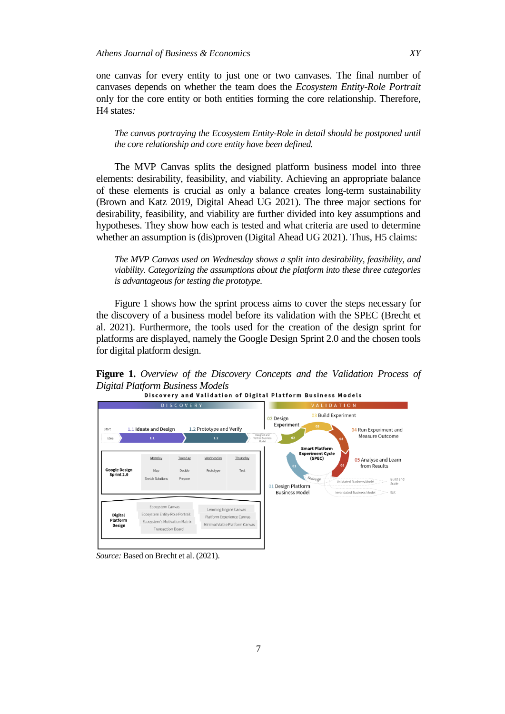one canvas for every entity to just one or two canvases. The final number of canvases depends on whether the team does the *Ecosystem Entity-Role Portrait*  only for the core entity or both entities forming the core relationship. Therefore, H4 states*:* 

*The canvas portraying the Ecosystem Entity-Role in detail should be postponed until the core relationship and core entity have been defined.*

The MVP Canvas splits the designed platform business model into three elements: desirability, feasibility, and viability. Achieving an appropriate balance of these elements is crucial as only a balance creates long-term sustainability (Brown and Katz 2019, Digital Ahead UG 2021). The three major sections for desirability, feasibility, and viability are further divided into key assumptions and hypotheses. They show how each is tested and what criteria are used to determine whether an assumption is (dis)proven (Digital Ahead UG 2021). Thus, H5 claims:

*The MVP Canvas used on Wednesday shows a split into desirability, feasibility, and viability. Categorizing the assumptions about the platform into these three categories is advantageous for testing the prototype.*

Figure 1 shows how the sprint process aims to cover the steps necessary for the discovery of a business model before its validation with the SPEC (Brecht et al. 2021). Furthermore, the tools used for the creation of the design sprint for platforms are displayed, namely the Google Design Sprint 2.0 and the chosen tools for digital platform design.

**Figure 1.** *Overview of the Discovery Concepts and the Validation Process of Digital Platform Business Models*



*Source:* Based on Brecht et al. (2021).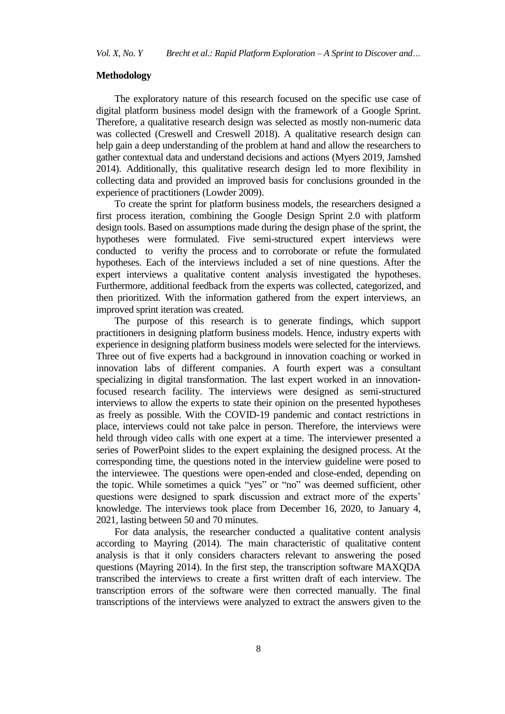## **Methodology**

The exploratory nature of this research focused on the specific use case of digital platform business model design with the framework of a Google Sprint. Therefore, a qualitative research design was selected as mostly non-numeric data was collected (Creswell and Creswell 2018). A qualitative research design can help gain a deep understanding of the problem at hand and allow the researchers to gather contextual data and understand decisions and actions (Myers 2019, Jamshed 2014). Additionally, this qualitative research design led to more flexibility in collecting data and provided an improved basis for conclusions grounded in the experience of practitioners (Lowder 2009).

To create the sprint for platform business models, the researchers designed a first process iteration, combining the Google Design Sprint 2.0 with platform design tools. Based on assumptions made during the design phase of the sprint, the hypotheses were formulated. Five semi-structured expert interviews were conducted to verifty the process and to corroborate or refute the formulated hypotheses. Each of the interviews included a set of nine questions. After the expert interviews a qualitative content analysis investigated the hypotheses. Furthermore, additional feedback from the experts was collected, categorized, and then prioritized. With the information gathered from the expert interviews, an improved sprint iteration was created.

The purpose of this research is to generate findings, which support practitioners in designing platform business models. Hence, industry experts with experience in designing platform business models were selected for the interviews. Three out of five experts had a background in innovation coaching or worked in innovation labs of different companies. A fourth expert was a consultant specializing in digital transformation. The last expert worked in an innovationfocused research facility. The interviews were designed as semi-structured interviews to allow the experts to state their opinion on the presented hypotheses as freely as possible. With the COVID-19 pandemic and contact restrictions in place, interviews could not take palce in person. Therefore, the interviews were held through video calls with one expert at a time. The interviewer presented a series of PowerPoint slides to the expert explaining the designed process. At the corresponding time, the questions noted in the interview guideline were posed to the interviewee. The questions were open-ended and close-ended, depending on the topic. While sometimes a quick "yes" or "no" was deemed sufficient, other questions were designed to spark discussion and extract more of the experts' knowledge. The interviews took place from December 16, 2020, to January 4, 2021, lasting between 50 and 70 minutes.

For data analysis, the researcher conducted a qualitative content analysis according to Mayring (2014). The main characteristic of qualitative content analysis is that it only considers characters relevant to answering the posed questions (Mayring 2014). In the first step, the transcription software MAXQDA transcribed the interviews to create a first written draft of each interview. The transcription errors of the software were then corrected manually. The final transcriptions of the interviews were analyzed to extract the answers given to the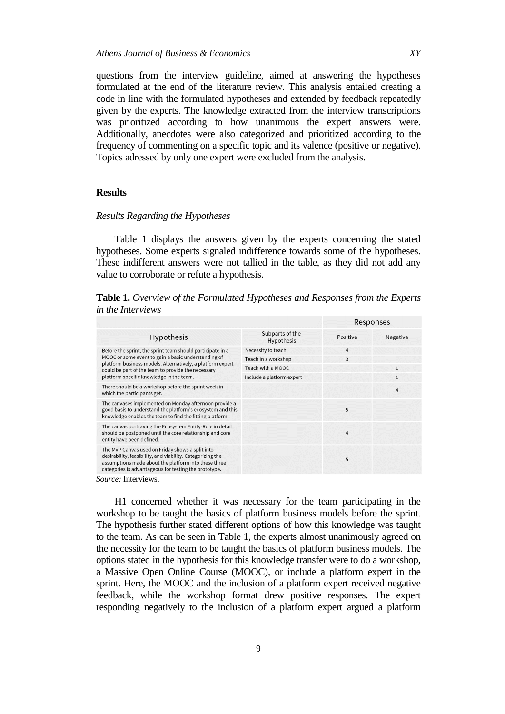questions from the interview guideline, aimed at answering the hypotheses formulated at the end of the literature review. This analysis entailed creating a code in line with the formulated hypotheses and extended by feedback repeatedly given by the experts. The knowledge extracted from the interview transcriptions was prioritized according to how unanimous the expert answers were. Additionally, anecdotes were also categorized and prioritized according to the frequency of commenting on a specific topic and its valence (positive or negative). Topics adressed by only one expert were excluded from the analysis.

# **Results**

#### *Results Regarding the Hypotheses*

Table 1 displays the answers given by the experts concerning the stated hypotheses. Some experts signaled indifference towards some of the hypotheses. These indifferent answers were not tallied in the table, as they did not add any value to corroborate or refute a hypothesis.

**Table 1.** *Overview of the Formulated Hypotheses and Responses from the Experts in the Interviews*

|                                                                                                                                                                                                                                                                                   |                                      | Responses      |              |
|-----------------------------------------------------------------------------------------------------------------------------------------------------------------------------------------------------------------------------------------------------------------------------------|--------------------------------------|----------------|--------------|
| <b>Hypothesis</b>                                                                                                                                                                                                                                                                 | Subparts of the<br><b>Hypothesis</b> | Positive       | Negative     |
| Before the sprint, the sprint team should participate in a<br>MOOC or some event to gain a basic understanding of<br>platform business models. Alternatively, a platform expert<br>could be part of the team to provide the necessary<br>platform specific knowledge in the team. | Necessity to teach                   | $\overline{4}$ |              |
|                                                                                                                                                                                                                                                                                   | Teach in a workshop                  | 3              |              |
|                                                                                                                                                                                                                                                                                   | Teach with a MOOC                    |                | $\mathbf{1}$ |
|                                                                                                                                                                                                                                                                                   | Include a platform expert            |                | $\mathbf{1}$ |
| There should be a workshop before the sprint week in<br>which the participants get.                                                                                                                                                                                               |                                      |                | 4            |
| The canvases implemented on Monday afternoon provide a<br>good basis to understand the platform's ecosystem and this<br>knowledge enables the team to find the fitting platform                                                                                                   |                                      | 5              |              |
| The canvas portraying the Ecosystem Entity-Role in detail<br>should be postponed until the core relationship and core<br>entity have been defined.                                                                                                                                |                                      | 4              |              |
| The MVP Canvas used on Friday shows a split into<br>desirability, feasibility, and viability. Categorizing the<br>assumptions made about the platform into these three<br>categories is advantageous for testing the prototype.                                                   |                                      | 5              |              |
| Course Interviews                                                                                                                                                                                                                                                                 |                                      |                |              |

*Source:* Interviews.

H1 concerned whether it was necessary for the team participating in the workshop to be taught the basics of platform business models before the sprint. The hypothesis further stated different options of how this knowledge was taught to the team. As can be seen in Table 1, the experts almost unanimously agreed on the necessity for the team to be taught the basics of platform business models. The options stated in the hypothesis for this knowledge transfer were to do a workshop, a Massive Open Online Course (MOOC), or include a platform expert in the sprint. Here, the MOOC and the inclusion of a platform expert received negative feedback, while the workshop format drew positive responses. The expert responding negatively to the inclusion of a platform expert argued a platform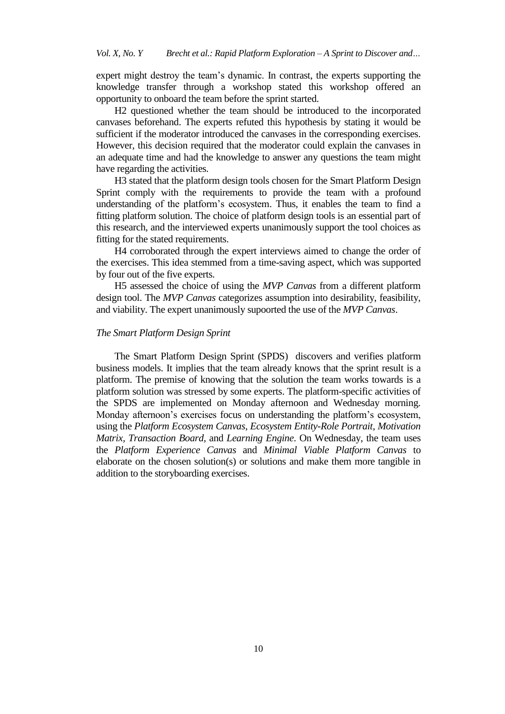expert might destroy the team's dynamic. In contrast, the experts supporting the knowledge transfer through a workshop stated this workshop offered an opportunity to onboard the team before the sprint started.

H2 questioned whether the team should be introduced to the incorporated canvases beforehand. The experts refuted this hypothesis by stating it would be sufficient if the moderator introduced the canvases in the corresponding exercises. However, this decision required that the moderator could explain the canvases in an adequate time and had the knowledge to answer any questions the team might have regarding the activities.

H3 stated that the platform design tools chosen for the Smart Platform Design Sprint comply with the requirements to provide the team with a profound understanding of the platform's ecosystem. Thus, it enables the team to find a fitting platform solution. The choice of platform design tools is an essential part of this research, and the interviewed experts unanimously support the tool choices as fitting for the stated requirements.

H4 corroborated through the expert interviews aimed to change the order of the exercises. This idea stemmed from a time-saving aspect, which was supported by four out of the five experts.

H5 assessed the choice of using the *MVP Canvas* from a different platform design tool. The *MVP Canvas* categorizes assumption into desirability, feasibility, and viability. The expert unanimously supoorted the use of the *MVP Canvas*.

## *The Smart Platform Design Sprint*

The Smart Platform Design Sprint (SPDS) discovers and verifies platform business models. It implies that the team already knows that the sprint result is a platform. The premise of knowing that the solution the team works towards is a platform solution was stressed by some experts. The platform-specific activities of the SPDS are implemented on Monday afternoon and Wednesday morning. Monday afternoon's exercises focus on understanding the platform's ecosystem, using the *Platform Ecosystem Canvas, Ecosystem Entity-Role Portrait, Motivation Matrix, Transaction Board,* and *Learning Engine*. On Wednesday, the team uses the *Platform Experience Canvas* and *Minimal Viable Platform Canvas* to elaborate on the chosen solution(s) or solutions and make them more tangible in addition to the storyboarding exercises.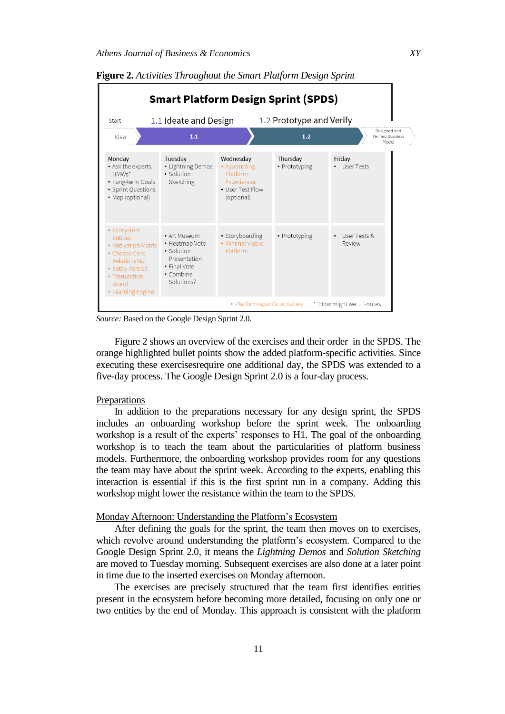| <b>Smart Platform Design Sprint (SPDS)</b>                                                                                                                        |                                                                                                         |                                                                                        |                           |                                            |  |
|-------------------------------------------------------------------------------------------------------------------------------------------------------------------|---------------------------------------------------------------------------------------------------------|----------------------------------------------------------------------------------------|---------------------------|--------------------------------------------|--|
| Start                                                                                                                                                             | 1.1 Ideate and Design                                                                                   |                                                                                        | 1.2 Prototype and Verify  |                                            |  |
| Idea                                                                                                                                                              | 1.1                                                                                                     |                                                                                        | 1.2                       | Designed and<br>Verified Business<br>Model |  |
| Monday<br>• Ask the experts,<br>$HMWs*$<br>• Long-term Goals<br>• Sprint Questions<br>• Map (optional)                                                            | Tuesday<br>• Lightning Demos<br>· Solution<br>Sketching                                                 | Wednesday<br>• Assembling<br>Platform<br>Experiences<br>• User Test Flow<br>(optional) | Thursday<br>• Prototyping | Friday<br>User Tests                       |  |
| • Ecosystem<br><b>Fntities</b><br>• Motivation Matrix<br>• Choose Core<br>Relationship<br>• Entity Portrait<br>• Transaction<br><b>Board</b><br>• Learning Engine | • Art Museum<br>• Heatmap Vote<br>• Solution<br>Presentation<br>• Final Vote<br>• Combine<br>Solutions? | • Storyboarding<br>• Minimal Viable<br>Platform                                        | • Prototyping             | User Tests &<br>Review                     |  |
|                                                                                                                                                                   |                                                                                                         | • Platform-specific activities                                                         |                           | * "How might we"-notes                     |  |

**Figure 2.** *Activities Throughout the Smart Platform Design Sprint*

*Source:* Based on the Google Design Sprint 2.0.

Figure 2 shows an overview of the exercises and their order in the SPDS. The orange highlighted bullet points show the added platform-specific activities. Since executing these exercisesrequire one additional day, the SPDS was extended to a five-day process. The Google Design Sprint 2.0 is a four-day process.

## Preparations

In addition to the preparations necessary for any design sprint, the SPDS includes an onboarding workshop before the sprint week. The onboarding workshop is a result of the experts' responses to H1. The goal of the onboarding workshop is to teach the team about the particularities of platform business models. Furthermore, the onboarding workshop provides room for any questions the team may have about the sprint week. According to the experts, enabling this interaction is essential if this is the first sprint run in a company. Adding this workshop might lower the resistance within the team to the SPDS.

# Monday Afternoon: Understanding the Platform's Ecosystem

After defining the goals for the sprint, the team then moves on to exercises, which revolve around understanding the platform's ecosystem. Compared to the Google Design Sprint 2.0, it means the *Lightning Demos* and *Solution Sketching*  are moved to Tuesday morning. Subsequent exercises are also done at a later point in time due to the inserted exercises on Monday afternoon.

The exercises are precisely structured that the team first identifies entities present in the ecosystem before becoming more detailed, focusing on only one or two entities by the end of Monday. This approach is consistent with the platform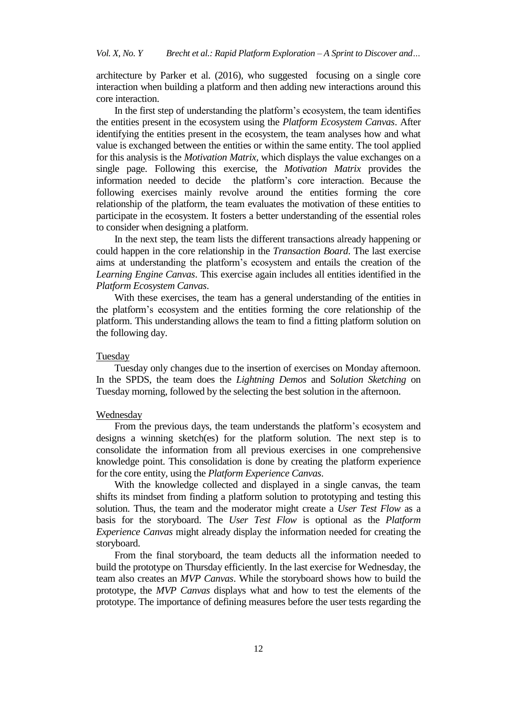architecture by Parker et al. (2016), who suggested focusing on a single core interaction when building a platform and then adding new interactions around this core interaction.

In the first step of understanding the platform's ecosystem, the team identifies the entities present in the ecosystem using the *Platform Ecosystem Canvas*. After identifying the entities present in the ecosystem, the team analyses how and what value is exchanged between the entities or within the same entity. The tool applied for this analysis is the *Motivation Matrix,* which displays the value exchanges on a single page. Following this exercise, the *Motivation Matrix* provides the information needed to decide the platform's core interaction. Because the following exercises mainly revolve around the entities forming the core relationship of the platform, the team evaluates the motivation of these entities to participate in the ecosystem. It fosters a better understanding of the essential roles to consider when designing a platform.

In the next step, the team lists the different transactions already happening or could happen in the core relationship in the *Transaction Board*. The last exercise aims at understanding the platform's ecosystem and entails the creation of the *Learning Engine Canvas*. This exercise again includes all entities identified in the *Platform Ecosystem Canvas*.

With these exercises, the team has a general understanding of the entities in the platform's ecosystem and the entities forming the core relationship of the platform. This understanding allows the team to find a fitting platform solution on the following day.

# Tuesday

Tuesday only changes due to the insertion of exercises on Monday afternoon. In the SPDS, the team does the *Lightning Demos* and S*olution Sketching* on Tuesday morning, followed by the selecting the best solution in the afternoon.

#### Wednesday

From the previous days, the team understands the platform's ecosystem and designs a winning sketch(es) for the platform solution. The next step is to consolidate the information from all previous exercises in one comprehensive knowledge point. This consolidation is done by creating the platform experience for the core entity, using the *Platform Experience Canvas*.

With the knowledge collected and displayed in a single canvas, the team shifts its mindset from finding a platform solution to prototyping and testing this solution. Thus, the team and the moderator might create a *User Test Flow* as a basis for the storyboard. The *User Test Flow* is optional as the *Platform Experience Canvas* might already display the information needed for creating the storyboard.

From the final storyboard, the team deducts all the information needed to build the prototype on Thursday efficiently. In the last exercise for Wednesday, the team also creates an *MVP Canvas*. While the storyboard shows how to build the prototype, the *MVP Canvas* displays what and how to test the elements of the prototype. The importance of defining measures before the user tests regarding the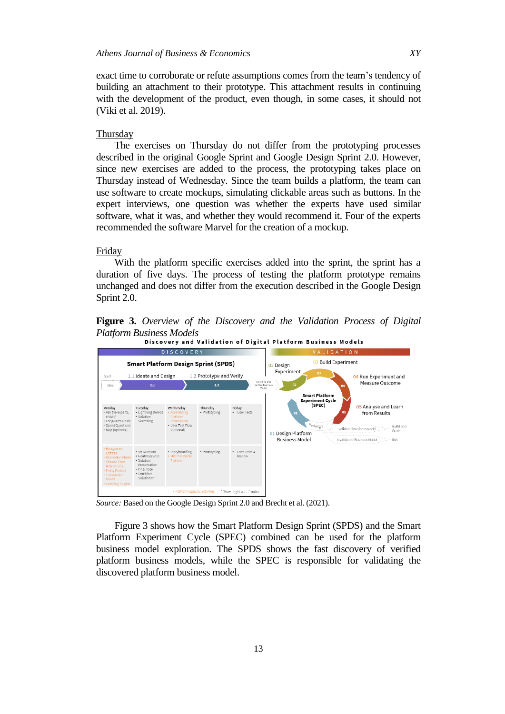exact time to corroborate or refute assumptions comes from the team's tendency of building an attachment to their prototype. This attachment results in continuing with the development of the product, even though, in some cases, it should not (Viki et al. 2019).

## **Thursday**

The exercises on Thursday do not differ from the prototyping processes described in the original Google Sprint and Google Design Sprint 2.0. However, since new exercises are added to the process, the prototyping takes place on Thursday instead of Wednesday. Since the team builds a platform, the team can use software to create mockups, simulating clickable areas such as buttons. In the expert interviews, one question was whether the experts have used similar software, what it was, and whether they would recommend it. Four of the experts recommended the software Marvel for the creation of a mockup.

## Friday

With the platform specific exercises added into the sprint, the sprint has a duration of five days. The process of testing the platform prototype remains unchanged and does not differ from the execution described in the Google Design Sprint 2.0.

**Figure 3.** *Overview of the Discovery and the Validation Process of Digital Platform Business Models*



*Source:* Based on the Google Design Sprint 2.0 and Brecht et al. (2021).

Figure 3 shows how the Smart Platform Design Sprint (SPDS) and the Smart Platform Experiment Cycle (SPEC) combined can be used for the platform business model exploration. The SPDS shows the fast discovery of verified platform business models, while the SPEC is responsible for validating the discovered platform business model.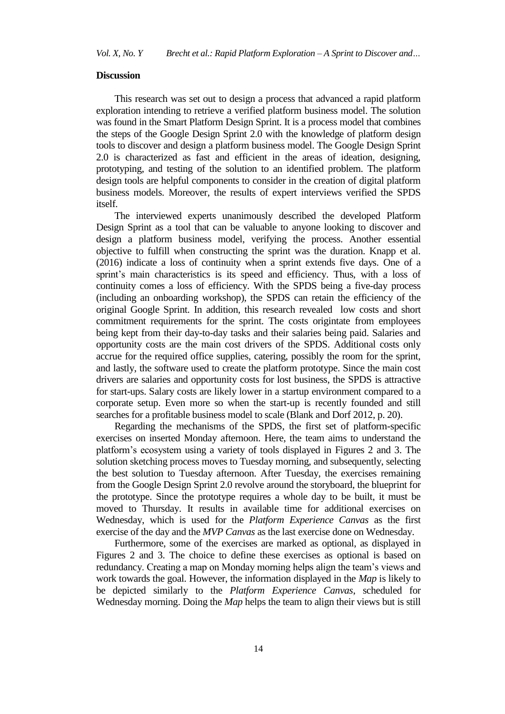#### **Discussion**

This research was set out to design a process that advanced a rapid platform exploration intending to retrieve a verified platform business model. The solution was found in the Smart Platform Design Sprint. It is a process model that combines the steps of the Google Design Sprint 2.0 with the knowledge of platform design tools to discover and design a platform business model. The Google Design Sprint 2.0 is characterized as fast and efficient in the areas of ideation, designing, prototyping, and testing of the solution to an identified problem. The platform design tools are helpful components to consider in the creation of digital platform business models. Moreover, the results of expert interviews verified the SPDS itself.

The interviewed experts unanimously described the developed Platform Design Sprint as a tool that can be valuable to anyone looking to discover and design a platform business model, verifying the process. Another essential objective to fulfill when constructing the sprint was the duration. Knapp et al. (2016) indicate a loss of continuity when a sprint extends five days. One of a sprint's main characteristics is its speed and efficiency. Thus, with a loss of continuity comes a loss of efficiency. With the SPDS being a five-day process (including an onboarding workshop), the SPDS can retain the efficiency of the original Google Sprint. In addition, this research revealed low costs and short commitment requirements for the sprint. The costs origintate from employees being kept from their day-to-day tasks and their salaries being paid. Salaries and opportunity costs are the main cost drivers of the SPDS. Additional costs only accrue for the required office supplies, catering, possibly the room for the sprint, and lastly, the software used to create the platform prototype. Since the main cost drivers are salaries and opportunity costs for lost business, the SPDS is attractive for start-ups. Salary costs are likely lower in a startup environment compared to a corporate setup. Even more so when the start-up is recently founded and still searches for a profitable business model to scale (Blank and Dorf 2012, p. 20).

Regarding the mechanisms of the SPDS, the first set of platform-specific exercises on inserted Monday afternoon. Here, the team aims to understand the platform's ecosystem using a variety of tools displayed in Figures 2 and 3. The solution sketching process moves to Tuesday morning, and subsequently, selecting the best solution to Tuesday afternoon. After Tuesday, the exercises remaining from the Google Design Sprint 2.0 revolve around the storyboard, the blueprint for the prototype. Since the prototype requires a whole day to be built, it must be moved to Thursday. It results in available time for additional exercises on Wednesday, which is used for the *Platform Experience Canvas* as the first exercise of the day and the *MVP Canvas* as the last exercise done on Wednesday.

Furthermore, some of the exercises are marked as optional, as displayed in Figures 2 and 3. The choice to define these exercises as optional is based on redundancy. Creating a map on Monday morning helps align the team's views and work towards the goal. However, the information displayed in the *Map* is likely to be depicted similarly to the *Platform Experience Canvas*, scheduled for Wednesday morning. Doing the *Map* helps the team to align their views but is still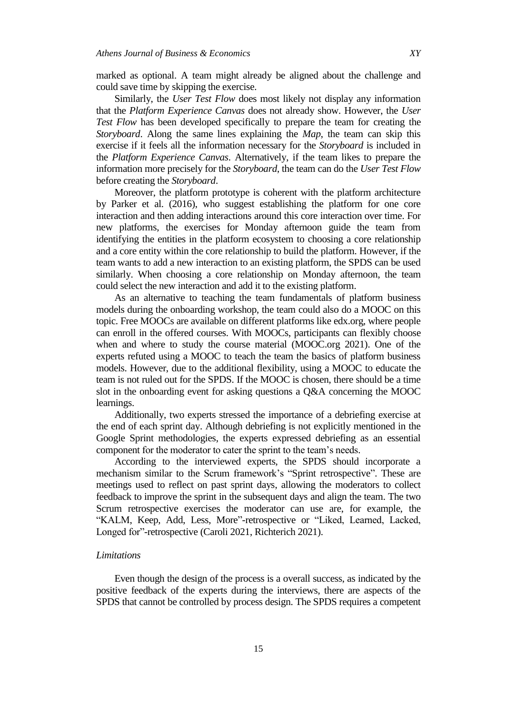marked as optional. A team might already be aligned about the challenge and could save time by skipping the exercise.

Similarly, the *User Test Flow* does most likely not display any information that the *Platform Experience Canvas* does not already show. However, the *User Test Flow* has been developed specifically to prepare the team for creating the *Storyboard*. Along the same lines explaining the *Map*, the team can skip this exercise if it feels all the information necessary for the *Storyboard* is included in the *Platform Experience Canvas*. Alternatively, if the team likes to prepare the information more precisely for the *Storyboard*, the team can do the *User Test Flow* before creating the *Storyboard*.

Moreover, the platform prototype is coherent with the platform architecture by Parker et al. (2016), who suggest establishing the platform for one core interaction and then adding interactions around this core interaction over time. For new platforms, the exercises for Monday afternoon guide the team from identifying the entities in the platform ecosystem to choosing a core relationship and a core entity within the core relationship to build the platform. However, if the team wants to add a new interaction to an existing platform, the SPDS can be used similarly. When choosing a core relationship on Monday afternoon, the team could select the new interaction and add it to the existing platform.

As an alternative to teaching the team fundamentals of platform business models during the onboarding workshop, the team could also do a MOOC on this topic. Free MOOCs are available on different platforms like edx.org, where people can enroll in the offered courses. With MOOCs, participants can flexibly choose when and where to study the course material (MOOC.org 2021). One of the experts refuted using a MOOC to teach the team the basics of platform business models. However, due to the additional flexibility, using a MOOC to educate the team is not ruled out for the SPDS. If the MOOC is chosen, there should be a time slot in the onboarding event for asking questions a Q&A concerning the MOOC learnings.

Additionally, two experts stressed the importance of a debriefing exercise at the end of each sprint day. Although debriefing is not explicitly mentioned in the Google Sprint methodologies, the experts expressed debriefing as an essential component for the moderator to cater the sprint to the team's needs.

According to the interviewed experts, the SPDS should incorporate a mechanism similar to the Scrum framework's "Sprint retrospective". These are meetings used to reflect on past sprint days, allowing the moderators to collect feedback to improve the sprint in the subsequent days and align the team. The two Scrum retrospective exercises the moderator can use are, for example, the "KALM, Keep, Add, Less, More"-retrospective or "Liked, Learned, Lacked, Longed for"-retrospective (Caroli 2021, Richterich 2021).

# *Limitations*

Even though the design of the process is a overall success, as indicated by the positive feedback of the experts during the interviews, there are aspects of the SPDS that cannot be controlled by process design. The SPDS requires a competent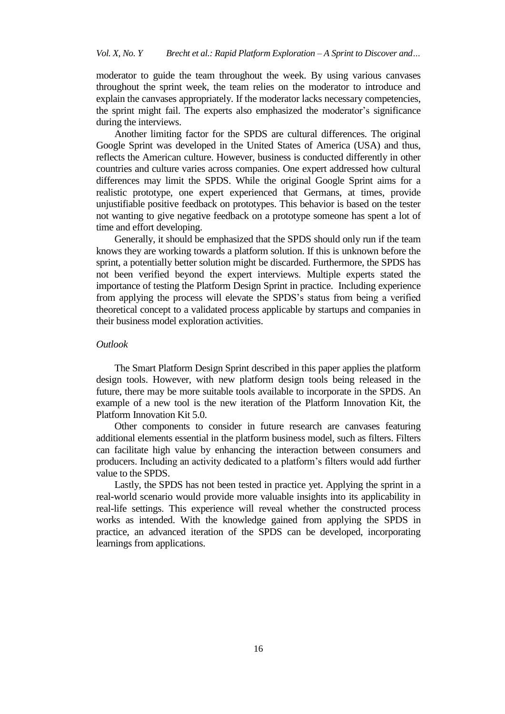moderator to guide the team throughout the week. By using various canvases throughout the sprint week, the team relies on the moderator to introduce and explain the canvases appropriately. If the moderator lacks necessary competencies, the sprint might fail. The experts also emphasized the moderator's significance during the interviews.

Another limiting factor for the SPDS are cultural differences. The original Google Sprint was developed in the United States of America (USA) and thus, reflects the American culture. However, business is conducted differently in other countries and culture varies across companies. One expert addressed how cultural differences may limit the SPDS. While the original Google Sprint aims for a realistic prototype, one expert experienced that Germans, at times, provide unjustifiable positive feedback on prototypes. This behavior is based on the tester not wanting to give negative feedback on a prototype someone has spent a lot of time and effort developing.

Generally, it should be emphasized that the SPDS should only run if the team knows they are working towards a platform solution. If this is unknown before the sprint, a potentially better solution might be discarded. Furthermore, the SPDS has not been verified beyond the expert interviews. Multiple experts stated the importance of testing the Platform Design Sprint in practice. Including experience from applying the process will elevate the SPDS's status from being a verified theoretical concept to a validated process applicable by startups and companies in their business model exploration activities.

#### *Outlook*

The Smart Platform Design Sprint described in this paper applies the platform design tools. However, with new platform design tools being released in the future, there may be more suitable tools available to incorporate in the SPDS. An example of a new tool is the new iteration of the Platform Innovation Kit, the Platform Innovation Kit 5.0.

Other components to consider in future research are canvases featuring additional elements essential in the platform business model, such as filters. Filters can facilitate high value by enhancing the interaction between consumers and producers. Including an activity dedicated to a platform's filters would add further value to the SPDS.

Lastly, the SPDS has not been tested in practice yet. Applying the sprint in a real-world scenario would provide more valuable insights into its applicability in real-life settings. This experience will reveal whether the constructed process works as intended. With the knowledge gained from applying the SPDS in practice, an advanced iteration of the SPDS can be developed, incorporating learnings from applications.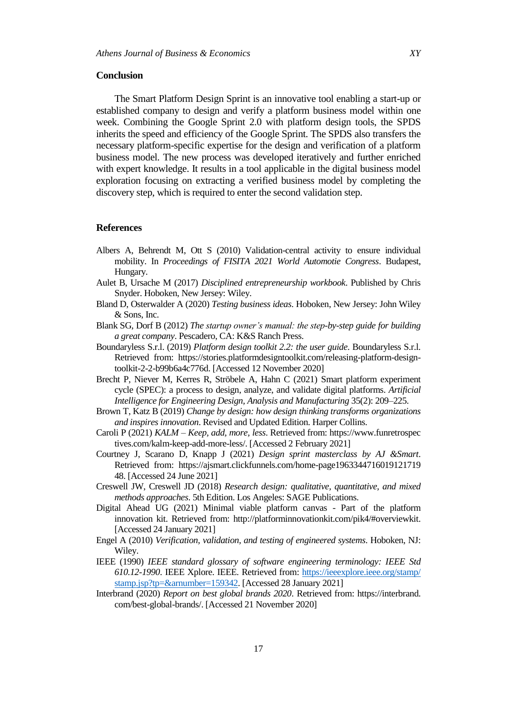#### **Conclusion**

The Smart Platform Design Sprint is an innovative tool enabling a start-up or established company to design and verify a platform business model within one week. Combining the Google Sprint 2.0 with platform design tools, the SPDS inherits the speed and efficiency of the Google Sprint. The SPDS also transfers the necessary platform-specific expertise for the design and verification of a platform business model. The new process was developed iteratively and further enriched with expert knowledge. It results in a tool applicable in the digital business model exploration focusing on extracting a verified business model by completing the discovery step, which is required to enter the second validation step.

## **References**

- Albers A, Behrendt M, Ott S (2010) Validation-central activity to ensure individual mobility. In *Proceedings of FISITA 2021 World Automotie Congress*. Budapest, Hungary.
- Aulet B, Ursache M (2017) *Disciplined entrepreneurship workbook*. Published by Chris Snyder. Hoboken, New Jersey: Wiley.
- Bland D, Osterwalder A (2020) *Testing business ideas*. Hoboken, New Jersey: John Wiley & Sons, Inc.
- Blank SG, Dorf B (2012) *The startup owner's manual: the step-by-step guide for building a great company*. Pescadero, CA: K&S Ranch Press.
- Boundaryless S.r.l. (2019) *Platform design toolkit 2.2: the user guide*. Boundaryless S.r.l. Retrieved from: [https://stories.platformdesigntoolkit.com/releasing-platform-design](https://stories.platformdesigntoolkit.com/releasing-platform-design-toolkit-2-2-b99b6a4c776d)[toolkit-2-2-b99b6a4c776d.](https://stories.platformdesigntoolkit.com/releasing-platform-design-toolkit-2-2-b99b6a4c776d) [Accessed 12 November 2020]
- Brecht P, Niever M, Kerres R, Ströbele A, Hahn C (2021) Smart platform experiment cycle (SPEC): a process to design, analyze, and validate digital platforms. *Artificial Intelligence for Engineering Design, Analysis and Manufacturing* 35(2): 209–225.
- Brown T, Katz B (2019) *Change by design: how design thinking transforms organizations and inspires innovation*. Revised and Updated Edition. Harper Collins.
- Caroli P (2021) *KALM – Keep, add, more, less*. Retrieved from: https://www.funretrospec tives.com/kalm-keep-add-more-less/. [Accessed 2 February 2021]
- Courtney J, Scarano D, Knapp J (2021) *Design sprint masterclass by AJ &Smart*. Retrieved from: https://ajsmart.clickfunnels.com/home-page1963344716019121719 48. [Accessed 24 June 2021]
- Creswell JW, Creswell JD (2018) *Research design: qualitative, quantitative, and mixed methods approaches*. 5th Edition. Los Angeles: SAGE Publications.
- Digital Ahead UG (2021) Minimal viable platform canvas Part of the platform innovation kit. Retrieved from: [http://platforminnovationkit.com/pik4/#overviewkit.](http://platforminnovationkit.com/pik4/#overviewkit) [Accessed 24 January 2021]
- Engel A (2010) *Verification, validation, and testing of engineered systems*. Hoboken, NJ: Wiley.
- IEEE (1990) *IEEE standard glossary of software engineering terminology: IEEE Std 610.12-1990*. IEEE Xplore. IEEE. Retrieved from: [https://ieeexplore.ieee.org/stamp/](https://ieeexplore.ieee.org/stamp/%20stamp.jsp?tp=&arnumber=159342)  [stamp.jsp?tp=&arnumber=159342.](https://ieeexplore.ieee.org/stamp/%20stamp.jsp?tp=&arnumber=159342) [Accessed 28 January 2021]
- Interbrand (2020) *Report on best global brands 2020*. Retrieved from: https://interbrand. com/best-global-brands/. [Accessed 21 November 2020]